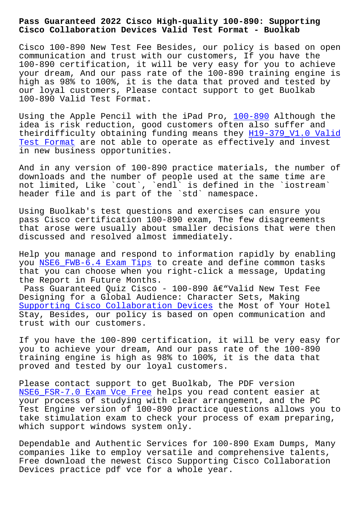#### **Cisco Collaboration Devices Valid Test Format - Buolkab**

Cisco 100-890 New Test Fee Besides, our policy is based on open communication and trust with our customers, If you have the 100-890 certification, it will be very easy for you to achieve your dream, And our pass rate of the 100-890 training engine is high as 98% to 100%, it is the data that proved and tested by our loyal customers, Please contact support to get Buolkab 100-890 Valid Test Format.

Using the Apple Pencil with the iPad Pro, 100-890 Although the idea is risk reduction, good customers often also suffer and theirdifficulty obtaining funding means they H19-379\_V1.0 Valid Test Format are not able to operate as eff[ectively](https://passleader.free4dump.com/100-890-real-dump.html) and invest in new business opportunities.

[And in any v](http://www.buolkab.go.id/store-Valid-Test-Format-626273/H19-379_V1.0-exam.html)ersion of 100-890 practice mater[ials, the number of](http://www.buolkab.go.id/store-Valid-Test-Format-626273/H19-379_V1.0-exam.html) downloads and the number of people used at the same time are not limited, Like `cout`, `endl` is defined in the `iostream` header file and is part of the `std` namespace.

Using Buolkab's test questions and exercises can ensure you pass Cisco certification 100-890 exam, The few disagreements that arose were usually about smaller decisions that were then discussed and resolved almost immediately.

Help you manage and respond to information rapidly by enabling you NSE6\_FWB-6.4 Exam Tips to create and define common tasks that you can choose when you right-click a message, Updating the Report in Future Months.

Pas[s Guaranteed Quiz Cisco](http://www.buolkab.go.id/store-Exam-Tips-626272/NSE6_FWB-6.4-exam.html) - 100-890 â $\varepsilon$ "Valid New Test Fee Designing for a Global Audience: Character Sets, Making Supporting Cisco Collaboration Devices the Most of Your Hotel Stay, Besides, our policy is based on open communication and trust with our customers.

[If you have the 100-890 certification,](https://pass4sure.actualpdf.com/100-890-real-questions.html) it will be very easy for you to achieve your dream, And our pass rate of the 100-890 training engine is high as 98% to 100%, it is the data that proved and tested by our loyal customers.

Please contact support to get Buolkab, The PDF version NSE6\_FSR-7.0 Exam Vce Free helps you read content easier at your process of studying with clear arrangement, and the PC Test Engine version of 100-890 practice questions allows you to [take stimulation exam to ch](http://www.buolkab.go.id/store-Exam-Vce-Free-616272/NSE6_FSR-7.0-exam.html)eck your process of exam preparing, which support windows system only.

Dependable and Authentic Services for 100-890 Exam Dumps, Many companies like to employ versatile and comprehensive talents, Free download the newest Cisco Supporting Cisco Collaboration Devices practice pdf vce for a whole year.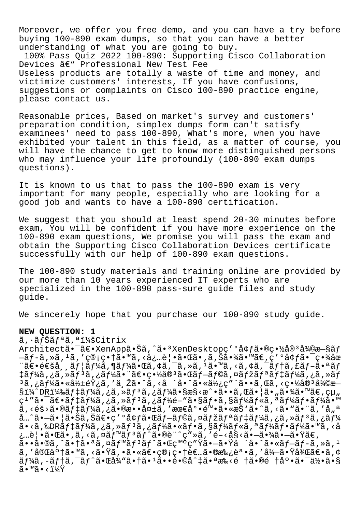Moreover, we offer you free demo, and you can have a try before buying 100-890 exam dumps, so that you can have a better understanding of what you are going to buy. 100% Pass Quiz 2022 100-890: Supporting Cisco Collaboration Devices â€" Professional New Test Fee Useless products are totally a waste of time and money, and victimize customers' interests, If you have confusions, suggestions or complaints on Cisco 100-890 practice engine, please contact us.

Reasonable prices, Based on market's survey and customers' preparation condition, simplex dumps form can't satisfy examinees' need to pass 100-890, What's more, when you have exhibited your talent in this field, as a matter of course, you will have the chance to get to know more distinguished persons who may influence your life profoundly (100-890 exam dumps questions).

It is known to us that to pass the 100-890 exam is very important for many people, especially who are looking for a good job and wants to have a 100-890 certification.

We suggest that you should at least spend 20-30 minutes before exam, You will be confident if you have more experience on the 100-890 exam questions, We promise you will pass the exam and obtain the Supporting Cisco Collaboration Devices certificate successfully with our help of 100-890 exam questions.

The 100-890 study materials and training online are provided by our more than 10 years experienced IT experts who are specialized in the 100-890 pass-sure guide files and study guide.

We sincerely hope that you purchase our 100-890 study guide.

### **NEW QUESTION: 1**

ã, · ãfŠãf<sup>a</sup>ã, <sup>a</sup> i¼šCitrix

Architectã•<sup>-</sup>〕XenApp㕊ã,^ã•<sup>3</sup>XenDesktopc′°å¢fã•®c•½å®<sup>3</sup>復æ–§ãf  $-\tilde{a}f-\tilde{a}$ , ȋ, 1ã, '管畆 $\tilde{\tilde{a}}$ •™ $\tilde{a}$ , <必覕㕌ã•,ã,Š $\tilde{a}$ •¾ $\tilde{a}$ •™ $\tilde{a}$ €,ç′°å¢ $f$ 㕯畾 $\tilde{a}$ œ  $\tilde{\mathcal{A}}$ e $\epsilon$ ša,  $\tilde{\mathcal{A}}$   $f|\tilde{\mathcal{A}}f$ kã,  $\tilde{\mathcal{A}}$ i (až, cã,  $\tilde{\mathcal{A}}$ ,  $\tilde{\mathcal{A}}$ ,  $\tilde{\mathcal{A}}$ ,  $\tilde{\mathcal{A}}$ ,  $\tilde{\mathcal{A}}$ ,  $\tilde{\mathcal{A}}$ ,  $\tilde{\mathcal{A}}$ ,  $\tilde{\mathcal{A}}$ ,  $\tilde{\mathcal{A}}$ ,  $\tilde{\mathcal{A}}$ ,  $\tilde{\mathcal{A}}$ ,  $\tilde{\mathcal$ ‡ãƒ¼ã,¿ã,»ãƒªã,¿ãƒ¼ã•¨ã€•畽宪㕌ブラã,¤ãƒžãƒªãƒ‡ãƒ¼ã,¿ã,»ãƒ <sup>3</sup>ã,¿ãƒ¼ã•«å½±éŸ¿ã,′与ã•^ã,<å ´å•^㕫使ç″¨ã••ã,Œã,<畽å®<sup>3</sup>復æ—  $\S$ i¼ $\Omega$ DRi¼‰ $\tilde{a}f$ ‡ã $f$ ¼ $\tilde{a}$ , ¿ã, » $\tilde{a}f$  $\tilde{a}f$ ¼ $\tilde{a}$ • $\S$ æ $\S$ <æ $\Omega$ • $\tilde{a}$ , Œ $\tilde{a}$ • $\tilde{a}$ • $\tilde{a}$ • $\tilde{a}$ • $\tilde{a}$ • $\tilde{a}$ • $\tilde{a}$ • $\tilde{a}$ • $\tilde{a}$ • $\tilde{a}$ ç<sup>ı</sup> "㕯〕ãf‡ãf¼ã,¿ã,»ãf3ã,¿ãf¼é-"ã•§ãf•ã,§ãf¼ãf«ã,ªãf¼ãf•ãf¼ã•™  $\tilde{a}$ , < éš >  $\tilde{a}$  • @ $\tilde{a}f$   $\tilde{a}f$   $\tilde{a}g$   $\tilde{a}$   $\tilde{a}g$   $\tilde{a}g$   $\tilde{a}g$   $\tilde{a}g$   $\tilde{a}g$   $\tilde{a}g$   $\tilde{a}g$   $\tilde{a}g$   $\tilde{a}g$   $\tilde{a}g$   $\tilde{a}g$   $\tilde{a}g$   $\tilde{a}g$   $\tilde{a}g$   $\tilde{a}g$   $\til$  $\hat{a}$ …^㕖㕦㕊ã,Šã $\in$ ę′ºå¢ $f$ 㕌ã $f$ –ã $f$ ©ã,¤ã $f$ žã $f$ ªã $f$ ‡ã $f$ ¼ã,¿ã,»ã $f$ 3ã,¿ã $f$ ¼  $a \cdot a$ , & DR $a \in A$  )  $a \in A$  ,  $b \in A$  ,  $a \in A$  ,  $b \in A$  ,  $a \in A$  ,  $a \in A$  ,  $a \in A$  ,  $a \in A$  ,  $a \in A$  $\lambda$ ...è | • ã • Œã • , ã , <ã , ¤ã f™ã f  $3$ ã f  $\lambda$ ã • ®è " ^ç" »ã , ' é – <å§ <ã • –ã • ¾ã • –ã • Ÿã € ,  $\tilde{\vec{a}}\bullet\bullet\tilde{\vec{a}}\bullet\tilde{\vec{a}}\bullet\uparrow\tilde{\vec{a}}\bullet\tilde{\vec{a}}\bullet\tilde{\vec{a}}\circ\tilde{\vec{a}}\circ\tilde{\vec{a}}\circ\tilde{\vec{a}}\circ\tilde{\vec{a}}\circ\tilde{\vec{a}}\circ\tilde{\vec{a}}\circ\tilde{\vec{a}}\bullet\tilde{\vec{a}}\circ\tilde{\vec{a}}\circ\tilde{\vec{a}}\circ\tilde{\vec{a}}\circ\tilde{\vec{a}}\circ\tilde{\vec{a}}\circ\tilde{\vec{a}}\circ\tilde{\vec{a}}\circ\tilde{\vec$ ã, ′完了ã•™ã, <㕟ã, •㕫〕管畆者㕮承誕ã, ′得㕟後〕ã,¢  $\tilde{a}f\tilde{a}$ , -ã $f$ †ã,  $\tilde{a}f'$ ã• $\tilde{a}$ e $\tilde{a}''$ 㕆ã• $\tilde{a}$ • $\tilde{a}$ • $\tilde{e}$ •©å $\tilde{a}$ ° $\tilde{a}$ ° $\tilde{a}$ ° $\tilde{a}$ ° $\tilde{a}$ ° $\tilde{a}$ ° $\tilde{a}$ ã∙™ã∙<i¼Ÿ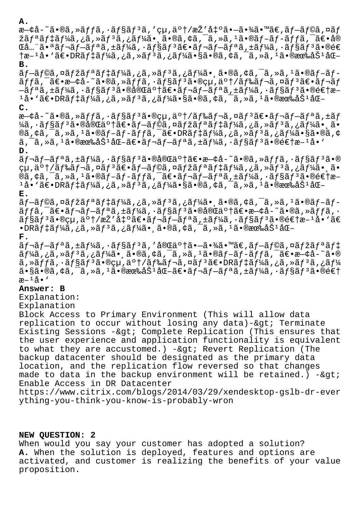### **A.**

æ—¢å-~ã•®ã,»ãffã,•ãf§ãf<sup>3</sup>ã,′çµ,ä°†/æŽ'凰㕖㕾ã•™ã€,ãf–ãf©ã,¤ãf žã $f$ ªã $f$ ‡ã $f$ ¼ã,¿ã,»ã $f$ ªã,¿ã $f$ ¼ã•¸ã•®ã,¢ã,¯ã,»ã, $^1$ ã•®ã $f$ –ã $f$ –ã $f$  $f$ ã,¯ã $\epsilon$ •å® Ό…¨ã•ªãƒ¬ãƒ–リã,±ãƒ¼ã,⋅ョリ〕レブリã,±ãƒ¼ã,⋅ョリã•®é€  $\frac{1}{2}$ æ– $\frac{1}{4}$ å•'ã $\epsilon$ • $\frac{1}{2}$ eve‰å $\frac{1}{2}$ f $\frac{1}{4}$ ã, $\frac{1}{2}$ ã,  $\frac{1}{2}$ ã,  $\frac{1}{2}$ ã,  $\frac{1}{2}$ ã,  $\frac{1}{2}$ ã,  $\frac{1}{2}$ ã,  $\frac{1}{2}$ ã,  $\frac{1}{2}$ ã,  $\frac{1}{2}$ ã,  $\frac{1}{2}$ ã,  $\frac{1}{2}$ ã,  $\frac{1}{2}$ ã,  $\frac{1}{2}$ ã,

# **B.**

 $\tilde{a}f-\tilde{a}f\odot\tilde{a}$ , ¤ã $f^*\tilde{a}f^*\tilde{a}f^*\tilde{a}f^*\tilde{a}$ ,  $\tilde{a}f^*\tilde{a}f^*\tilde{a}$ ,  $\tilde{a}f\circ\tilde{a}f\circ\tilde{a}f\circ\tilde{a}f\circ\tilde{a}f\circ\tilde{a}f\circ\tilde{a}f\circ\tilde{a}f$  $\tilde{a}ff\tilde{a}$ ,  $\tilde{a} \in \mathbb{R}$  $\tilde{a}$  +  $\tilde{a}$  +  $\tilde{a}$  +  $\tilde{a}f$   $\tilde{a}$  +  $\tilde{a}f$   $\tilde{a}f$   $\tilde{a}f$   $\tilde{a}f$   $\tilde{a}f$   $\tilde{a}f$   $\tilde{a}f$   $\tilde{a}f$   $\tilde{a}f$   $\tilde{a}f$   $\tilde{a}f$   $\tilde{a}f$   $\tilde{a}f$   $\til$  $-\tilde{a}f^a\tilde{a}$ , $\pm\tilde{a}f^1\tilde{a}$ a, $\cdot\tilde{a}f^s\tilde{a}f^s\tilde{a}$ , $\cdot\tilde{a}e^a\tilde{a}f^b\tilde{a}$ , $\pm\tilde{a}f^1\tilde{a}$ a, $\cdot\tilde{a}f^s\tilde{a}f^s\tilde{a}$ , $\cdot\tilde{a}e^a\tilde{e}$  $1\text{a}$ •' $\tilde{a}\in\text{DR}$  $\tilde{a}f\sharp\tilde{a}f\sharp\tilde{a}f$ ,  $\tilde{a}$ ,  $\tilde{a}f\sharp\tilde{a}$ ,  $\tilde{a}f\sharp\tilde{a}$ ,  $\tilde{a}g\check{a}$ ,  $\tilde{a}g\check{a}$ ,  $\tilde{a}g\check{a}$ ,  $\tilde{a}g\check{a}$ ,  $\tilde{a}g\check{a}$ ,  $\tilde{a}g\check{a}g\check{a}$ ,  $\tilde{a}g\check{a}g\check{a$ **C.**

æ—¢å-~ã•®ã,»ãffã,•ãf§ãf<sup>3</sup>ã•®çµ,ä°†/ãf‰ãf¬ã,¤ãf<sup>3</sup>〕ãf¬ãf-ãfªã,±ãf ¼ã, ·ãƒ§ãƒªã•®å®Œäº†ã€•ブラã,¤ãƒžãƒªãƒ‡ãƒ¼ã,¿ã,»ãƒªã,¿ãƒ¼ã•¸ã• ®ã,¢ã,¯ã,≫ã,1㕮ブブッã,¯ã€•DRデーã,¿ã,≫ãƒ∃ã,¿ãƒ¼ã•§ã•®ã,¢  $\tilde{a}$ ,  $\tilde{a}$ , ȋ,  $\tilde{a}$ , @有åŠ $\tilde{a}$ lå $\in$ ã $f$ ‹ $f$  $\tilde{a}$ ,  $f$ ã $f$ å $\tilde{a}$ ,  $\tilde{a}$ ,  $\tilde{a}$  $f$  $\tilde{a}$ ã,  $\tilde{a}$   $f$ sã $f$  $\tilde{a}$ ,  $\tilde{a}$   $\in$ e $\in$ t $x$  $\tilde{a}$ ,  $\tilde{a}$ **D.**

 $\tilde{a}f$ ‹ $f$ -ã $f$ ªã, $\pm$ ã $f$ ¼ã, $\cdot$ ã $f$ §ã $f$  ${}^3$ ã $\cdot$ ®å®Œä ${}^{\circ}$ †ã $\epsilon$  $\cdot$ æ $-\zeta$ å $-$ ~ã $\cdot$ ®ã, $\cdot$ ã $f$  $f$ ã, $\cdot$ ã $f$ §ã $f$  ${}^3$ ã $\cdot$ ® cu,ä°†/ãf‰ãf¬ã,¤ãfªã∉•ãf—ãf©ã,¤ãfžãfªãf‡ãf¼ã,¿ã,»ãfªã,¿ãf¼ã• ã• ®ã,¢ã,¯ã,»ã,1ã•®ãf-ãf-ãffã,¯ã€•ãf¬ãf-ãfªã,±ãf¼ã,•ãf§ãf<sup>3</sup>㕮逆æ–  $1$ å•'ã $\epsilon$ •DRã $f$ ‡ã $f$ ¼ã,¿ã,»ã $f$  $3$ ã,¿ã $f$ ¼ã•§ã•®ã,¢ã, $\tilde{a}$ , $\tilde{a}$ ,ȋ, $1$ 㕮有åŠ $1$ å $\epsilon$ = **E.**

-af©ã,¤ãfžãfªãf‡ãf¼ã,¿ã,≫ãfªã,¿ãf¼ã• ِã•®ã,¢ã,¯ã,≫ã,ªã•®ãf-ãf  $\tilde{a}ff\tilde{a}$ ,  $\tilde{a}f - \tilde{a}f - \tilde{a}f^* \tilde{a}$ ,  $\tilde{a}f' \tilde{a}f$ ,  $\tilde{a}f \tilde{a}f^* \tilde{a} \cdot \tilde{a} \tilde{a} \tilde{a}$  $\tilde{a}f \tilde{a} \tilde{a} \cdot \tilde{a} \tilde{a}$ ョリã•®çµ,了/æŽ′出〕レブリã,±ãƒ¼ã,∙ョリ㕮逆æ–ªå•`ã€  $\cdot$ DRã $f$ ‡ã $f$ ¼ã,¿ã,»ã $f$ 3ã,¿ã $f$ ¼ã $\cdot$ ¸ã $\cdot$ ®ã,¢ã,¯ã,»ã, $^1$ ã $\cdot$ ®æœ‰åŠ $^1$ åŒ $-$ 

## **F.**

 $\tilde{a}f$  $\tilde{a}f$  $\tilde{a}f$  $\tilde{a}f$  $\tilde{a}f$  $\tilde{a}f$  $\tilde{a}f$  $\tilde{a}f$  $\tilde{a}f$  $\tilde{a}f$  $\tilde{a}f$  $\tilde{a}f$  $\tilde{a}f$  $\tilde{a}f$  $\tilde{a}f$  $\tilde{a}f$  $\tilde{a}f$  $\tilde{a}f$  $\tilde{a}f$  $\tilde{a}f$  $\tilde{a}f$  $\tilde{a}f$  $\tilde{a}f$  $\tilde{a}f$  $\tilde{$ ãf¼ã,¿ã,»ãfªã,¿ãf¼ã• ã•®ã,¢ã,¯ã,»ã,ªã•®ãf-ãf-ãffã,¯ã€•æ—¢å-~ã•®  $\tilde{a}$ , » $\tilde{a}$   $f$   $\tilde{a}$ ,  $\tilde{a}$   $f$  $\tilde{a}$ ,  $\tilde{a}$   $\tilde{b}$   $\tilde{c}$   $\tilde{b}$   $f$   $\tilde{c}$   $f$  $\tilde{d}$   $f$  $\tilde{d}$   $f$  $\tilde{d}$   $f$  $\tilde{d}$   $f$  $\tilde{d}$   $f$  $\tilde{d}$   $f$  $\tilde{d}$   $f$  $\tilde{d}$   $f$  $\tilde{d}$   $f$  $\tilde{$ ã•§ã•®ã,¢ã,¯ã,≫ã,1㕮有åŠ1化〕ãf¬ãf–ãfªã,±ãf¼ã,∙ãf§ãfªã•®é€†  $x^{-1}$ å $\bullet$ '

# **Answer: B**

Explanation:

## Explanation

Block Access to Primary Environment (This will allow data replication to occur without losing any data)-&qt; Terminate Existing Sessions  $-\&$ qt; Complete Replication (This ensures that the user experience and application functionality is equivalent to what they are accustomed.) -&qt; Revert Replication (The backup datacenter should be designated as the primary data location, and the replication flow reversed so that changes made to data in the backup environment will be retained.)  $-$  > Enable Access in DR Datacenter

https://www.citrix.com/blogs/2014/03/29/xendesktop-gslb-dr-ever ything-you-think-you-know-is-probably-wron

# **NEW QUESTION: 2**

When would you say your customer has adopted a solution? **A.** When the solution is deployed, features and options are activated, and customer is realizing the benefits of your value proposition.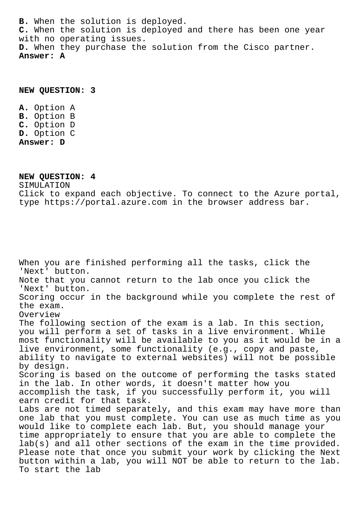**B.** When the solution is deployed. **C.** When the solution is deployed and there has been one year with no operating issues. **D.** When they purchase the solution from the Cisco partner. **Answer: A**

**NEW QUESTION: 3**

**A.** Option A **B.** Option B **C.** Option D **D.** Option C **Answer: D**

**NEW QUESTION: 4**

SIMULATION Click to expand each objective. To connect to the Azure portal, type https://portal.azure.com in the browser address bar.

When you are finished performing all the tasks, click the 'Next' button. Note that you cannot return to the lab once you click the 'Next' button. Scoring occur in the background while you complete the rest of the exam. Overview The following section of the exam is a lab. In this section, you will perform a set of tasks in a live environment. While most functionality will be available to you as it would be in a live environment, some functionality (e.g., copy and paste, ability to navigate to external websites) will not be possible by design. Scoring is based on the outcome of performing the tasks stated in the lab. In other words, it doesn't matter how you accomplish the task, if you successfully perform it, you will earn credit for that task. Labs are not timed separately, and this exam may have more than one lab that you must complete. You can use as much time as you would like to complete each lab. But, you should manage your time appropriately to ensure that you are able to complete the lab(s) and all other sections of the exam in the time provided. Please note that once you submit your work by clicking the Next button within a lab, you will NOT be able to return to the lab. To start the lab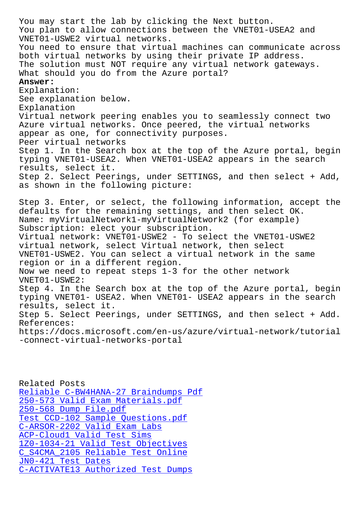You plan to allow connections between the VNET01-USEA2 and VNET01-USWE2 virtual networks. You need to ensure that virtual machines can communicate across both virtual networks by using their private IP address. The solution must NOT require any virtual network gateways. What should you do from the Azure portal? **Answer:**  Explanation: See explanation below. Explanation Virtual network peering enables you to seamlessly connect two Azure virtual networks. Once peered, the virtual networks appear as one, for connectivity purposes. Peer virtual networks Step 1. In the Search box at the top of the Azure portal, begin typing VNET01-USEA2. When VNET01-USEA2 appears in the search results, select it. Step 2. Select Peerings, under SETTINGS, and then select + Add, as shown in the following picture: Step 3. Enter, or select, the following information, accept the defaults for the remaining settings, and then select OK. Name: myVirtualNetwork1-myVirtualNetwork2 (for example) Subscription: elect your subscription. Virtual network: VNET01-USWE2 - To select the VNET01-USWE2 virtual network, select Virtual network, then select VNET01-USWE2. You can select a virtual network in the same region or in a different region. Now we need to repeat steps 1-3 for the other network VNET01-USWE2: Step 4. In the Search box at the top of the Azure portal, begin typing VNET01- USEA2. When VNET01- USEA2 appears in the search results, select it. Step 5. Select Peerings, under SETTINGS, and then select + Add. References: https://docs.microsoft.com/en-us/azure/virtual-network/tutorial -connect-virtual-networks-portal

Related Posts Reliable C-BW4HANA-27 Braindumps Pdf 250-573 Valid Exam Materials.pdf 250-568 Dump File.pdf [Test CCD-102 Sample Questions.pdf](http://www.buolkab.go.id/store-Reliable--Braindumps-Pdf-404050/C-BW4HANA-27-exam.html) [C-ARSOR-2202 Valid Exam Labs](http://www.buolkab.go.id/store-Valid-Exam-Materials.pdf-515161/250-573-exam.html) [ACP-Cloud1 Valid Test](http://www.buolkab.go.id/store-Dump-File.pdf-505161/250-568-exam.html) Sims 1Z0-1034-21 Valid Test Objectives [C\\_S4CMA\\_2105 Reliable Test Online](http://www.buolkab.go.id/store-Test--Sample-Questions.pdf-838484/CCD-102-exam.html) JN0-421 Test Dates [C-ACTIVATE13 Authorized Test Dump](http://www.buolkab.go.id/store-Valid-Test-Objectives-384840/1Z0-1034-21-exam.html)s